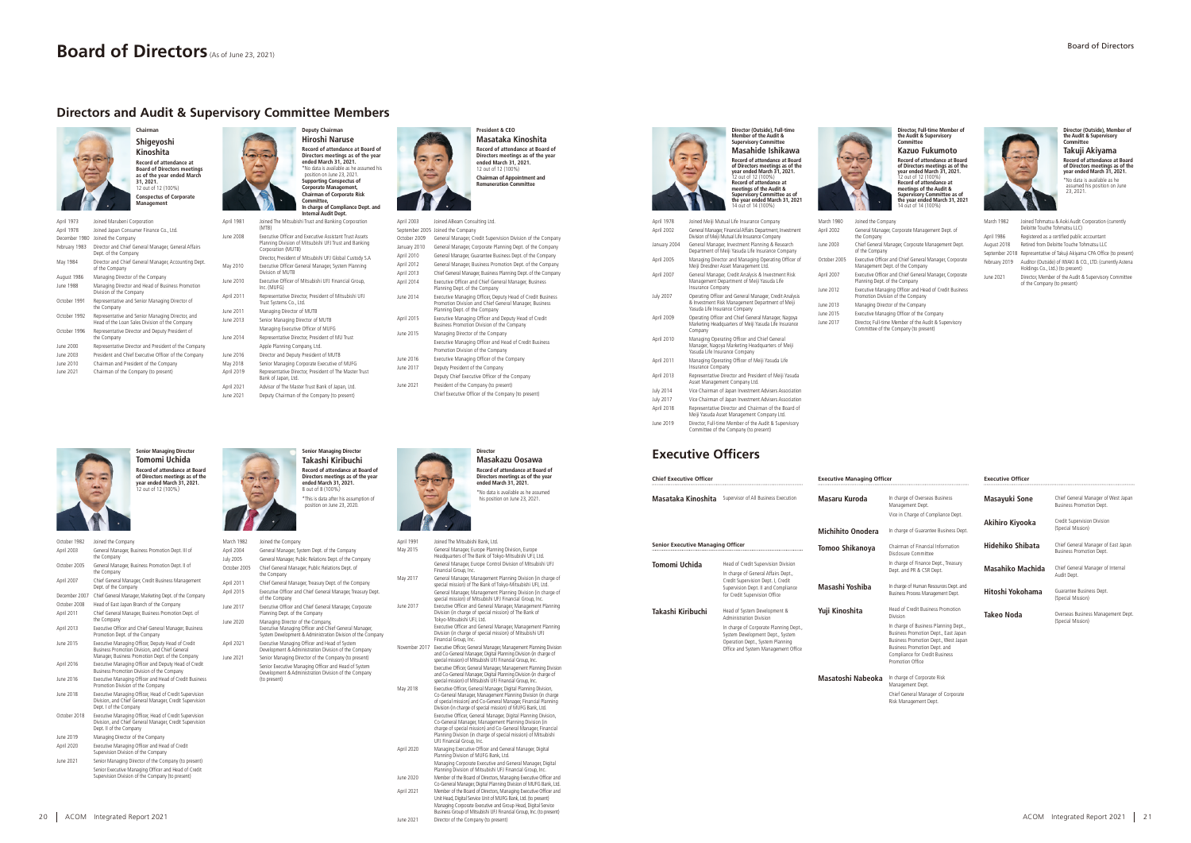April 1973 Joined Marubeni Corporation April 1978 Joined Japan Consumer Finance Co., Ltd. December 1980 Joined the Company February 1983 Director and Chief General Manager, General Affairs Dept. of the Company May 1984 Director and Chief General Manager, Accounting Dept. of the Company August 1986 Managing Director of the Company June 1988 Managing Director and Head of Business Promotion Division of the Company October 1991 Representative and Senior Managing Director of the Company October 1992 Representative and Senior Managing Director, and Head of the Loan Sales Division of the Company October 1996 Representative Director and Deputy President of the Company June 2000 Representative Director and President of the Company June 2003 President and Chief Executive Officer of the Company June 2010 Chairman and President of the Company June 2021 Chairman of the Company (to present)



April 1991 Joined The Mitsubishi Bank, Ltd. May 2015 General Manager, Europe Planning Division, Europe Headquarters of The Bank of Tokyo-Mitsubishi UFJ, Ltd. General Manager, Europe Control Division of Mitsubishi UFJ

Financial Group, Inc. May 2017 General Manager, Management Planning Division (in charge of special mission) of The Bank of Tokyo-Mitsubishi UFJ, Ltd. General Manager, Management Planning Division (in charge of special mission) of Mitsubishi UFJ Financial Group, Inc.

June 2017 Executive Officer and General Manager, Management Planning Division (in charge of special mission) of The Bank of Tokyo-Mitsubishi UFJ, Ltd. Executive Officer and General Manager, Management Planning

Division (in charge of special mission) of Mitsubishi UFJ Financial Group, Inc.

November 2017 Executive Officer, General Manager, Management Planning Division and Co-General Manager, Digital Planning Division (in charge of special mission) of Mitsubishi UFJ Financial Group, Inc. Executive Officer, General Manager, Management Planning Division and Co-General Manager, Digital Planning Division (in charge of special mission) of Mitsubishi UFJ Financial Group, Inc.

May 2018 Executive Officer, General Manager, Digital Planning Division, Co-General Manager, Management Planning Division (in charge of special mission) and Co-General Manager, Financial Planning Division (in charge of special mission) of MUFG Bank, Ltd. Executive Officer, General Manager, Digital Planning Division, Co-General Manager, Management Planning Division (in charge of special mission) and Co-General Manager, Financial Planning Division (in charge of special mission) of Mitsubishi UFJ Financial Group, Inc.

April 2020 Managing Executive Officer and General Manager, Digital Planning Division of MUFG Bank, Ltd.

Managing Corporate Executive and General Manager, Digital Planning Division of Mitsubishi UFJ Financial Group, Inc.

- June 2020 Member of the Board of Directors, Managing Executive Officer and Co-General Manager, Digital Planning Division of MUFG Bank, Ltd.
- April 2021 Member of the Board of Directors, Managing Executive Officer and Unit Head, Digital Service Unit of MUFG Bank, Ltd. (to present) Managing Corporate Executive and Group Head, Digital Service Business Group of Mitsubishi UFJ Financial Group, Inc. (to present)

June 2021 Director of the Company (to present)



April 1986 Registered as a certified public accountant August 2018 Retired from Deloitte Touche Tohmatsu LLC

June 2021 Director, Member of the Audit & Supervisory Committee of the Company (to present)

| October 1982  | Joined the Company                                                                                                                                      |
|---------------|---------------------------------------------------------------------------------------------------------------------------------------------------------|
| April 2003    | General Manager, Business Promotion Dept. III of<br>the Company                                                                                         |
| October 2005  | General Manager, Business Promotion Dept. II of<br>the Company                                                                                          |
| April 2007    | Chief General Manager, Credit Business Management<br>Dept. of the Company                                                                               |
| December 2007 | Chief General Manager, Marketing Dept. of the Company                                                                                                   |
| October 2008  | Head of East Japan Branch of the Company                                                                                                                |
| April 2011    | Chief General Manager, Business Promotion Dept. of<br>the Company                                                                                       |
| April 2013    | Executive Officer and Chief General Manager, Business<br>Promotion Dept. of the Company                                                                 |
| lune 2015     | Executive Managing Officer, Deputy Head of Credit<br>Business Promotion Division, and Chief General<br>Manager, Business Promotion Dept. of the Company |
| April 2016    | Executive Managing Officer and Deputy Head of Credit<br>Business Promotion Division of the Company                                                      |
| June 2016     | Executive Managing Officer and Head of Credit Business<br>Promotion Division of the Company                                                             |
| June 2018     | Executive Managing Officer, Head of Credit Supervision<br>Division, and Chief General Manager, Credit Supervision<br>Dept. I of the Company             |
| October 2018  | Executive Managing Officer, Head of Credit Supervision<br>Division, and Chief General Manager, Credit Supervision<br>Dept. II of the Company            |
| June 2019     | Managing Director of the Company                                                                                                                        |
| April 2020    | Executive Managing Officer and Head of Credit<br>Supervision Division of the Company                                                                    |
| June 2021     | Senior Managing Director of the Company (to present)                                                                                                    |
|               | Senior Executive Managing Officer and Head of Credit<br>Supervision Division of the Company (to present)                                                |

**Senior Managing Director Tomomi Uchida Record of attendance at Board of Directors meetings as of the year ended March 31, 2021.**

12 out of 12 (100%)

- April 2004 General Manager, System Dept. of the Company
- July 2005 General Manager, Public Relations Dept. of the Company October 2005 Chief General Manager, Public Relations Dept. of
- the Company April 2011 Chief General Manager, Treasury Dept. of the Company
- April 2015 Executive Officer and Chief General Manager, Treasury Dept. of the Company June 2017 Executive Officer and Chief General Manager, Corporate
- Planning Dept. of the Company June 2020 Managing Director of the Company,

Planning Dept. of the Company June 2014 Executive Managing Officer, Deputy Head of Credit Business Promotion Division and Chief General Manager, Business Planning Dept. of the Company

**Senior Managing Director Takashi Kiribuchi Record of attendance at Board of Directors meetings as of the year ended March 31, 2021.** 8 out of 8 (100%) \*This is data after his assumption of position on June 23, 2020.

| March 1982 | Joined the Company |  |
|------------|--------------------|--|

Ine 2021 President of the Company (to present) Chief Executive Officer of the Company (to present)

April 2021 Executive Managing Officer and Head of System Development & Administration Division of the Company



Executive Managing Officer and Chief General Manager, System Development & Administration Division of the Company June 2021 Senior Managing Director of the Company (to present) Senior Executive Managing Officer and Head of System

Development & Administration Division of the Company

**Director Masakazu Oosawa Record of attendance at Board of Directors meetings as of the year ended March 31, 2021.**

\*No data is available as he assumed his position on June 23, 2021.

(to present)

April 2002 General Manager, Corporate Management Dept. of

June 2003 Chief General Manager, Corporate Management Dept.

October 2005 Executive Officer and Chief General Manager, Corporate Management Dept. of the Company

April 2007 Executive Officer and Chief General Manager, Corporate Planning Dept. of the Company

**Masatoshi Nabeoka** In charge of Corporate Risk Management Dept.

June 2012 Executive Managing Officer and Head of Credit Business Promotion Division of the Company

June 2013 Managing Director of the Company

June 2015 Executive Managing Officer of the Company

June 2017 Director, Full-time Member of the Audit & Supervisory Committee of the Company (to present)



| <b>Chief Executive Officer</b>                                                                        |                                                                                                                                                       | <b>Executive Managing Officer</b> |                                                                                                                                                                                                             | <b>Executive Officer</b> |                                                                        |  |
|-------------------------------------------------------------------------------------------------------|-------------------------------------------------------------------------------------------------------------------------------------------------------|-----------------------------------|-------------------------------------------------------------------------------------------------------------------------------------------------------------------------------------------------------------|--------------------------|------------------------------------------------------------------------|--|
| Supervisor of All Business Execution<br>Masataka Kinoshita                                            |                                                                                                                                                       | Masaru Kuroda                     | In charge of Overseas Business<br>Management Dept.                                                                                                                                                          | Masayuki Sone            | Chief General Manager of West Japan<br><b>Business Promotion Dept.</b> |  |
|                                                                                                       |                                                                                                                                                       |                                   | Vice in Charge of Compliance Dept.                                                                                                                                                                          |                          | Credit Supervision Division                                            |  |
|                                                                                                       |                                                                                                                                                       | Michihito Onodera                 | In charge of Guarantee Business Dept.                                                                                                                                                                       | Akihiro Kiyooka          | (Special Mission)                                                      |  |
| <b>Senior Executive Managing Officer</b>                                                              |                                                                                                                                                       | Tomoo Shikanoya                   | Chairman of Financial Information<br>Disclosure Committee                                                                                                                                                   | Hidehiko Shibata         | Chief General Manager of East Japan<br><b>Business Promotion Dept.</b> |  |
| Tomomi Uchida                                                                                         | Head of Credit Supervision Division                                                                                                                   |                                   | In charge of Finance Dept., Treasury                                                                                                                                                                        | Masahiko Machida         | Chief General Manager of Internal                                      |  |
| Dept. and PR & CSR Dept.<br>In charge of General Affairs Dept.,<br>Credit Supervision Dept. I, Credit |                                                                                                                                                       | Audit Dept.                       |                                                                                                                                                                                                             |                          |                                                                        |  |
|                                                                                                       | Supervision Dept. II and Compliance<br>for Credit Supervision Office                                                                                  | Masashi Yoshiba                   | In charge of Human Resources Dept. and<br>Business Process Management Dept.                                                                                                                                 | Hitoshi Yokohama         | Guarantee Business Dept.<br>(Special Mission)                          |  |
| Takashi Kiribuchi                                                                                     | Head of System Development &<br>Administration Division                                                                                               | Yuji Kinoshita                    | Head of Credit Business Promotion<br>Division                                                                                                                                                               | <b>Takeo Noda</b>        | Overseas Business Management Dept.<br>(Special Mission)                |  |
|                                                                                                       | In charge of Corporate Planning Dept.,<br>System Development Dept., System<br>Operation Dept., System Planning<br>Office and System Management Office |                                   | In charge of Business Planning Dept.,<br>Business Promotion Dept., East Japan<br>Business Promotion Dept., West Japan<br>Business Promotion Dept. and<br>Compliance for Credit Business<br>Promotion Office |                          |                                                                        |  |
|                                                                                                       |                                                                                                                                                       |                                   |                                                                                                                                                                                                             |                          |                                                                        |  |

**Director, Full-time Member of the Audit & Supervisory Committee**

**Kazuo Fukumoto Record of attendance at Board of Directors meetings as of the year ended March 31, 2021.** 12 out of 12 (100%) **Record of attendance at meetings of the Audit &** 

**Supervisory Committee as of the year ended March 31, 2021** 14 out of 14 (100%)

| Executive Officer and Executive Assistant Trust Assets<br>June 2008<br>Planning Division of Mitsubishi UFJ Trust and Banking<br>Corporation (MUTB)<br>Director, President of Mitsubishi UFJ Global Custody S.A<br>May 2010<br>Executive Officer General Manager, System Planning<br>Division of MUTR<br>June 2010<br>Executive Officer of Mitsubishi UFJ Financial Group,<br>Inc. (MUFG)<br>April 2011<br>Representative Director, President of Mitsubishi UFJ<br>Trust Systems Co., Ltd.<br>Managing Director of MUTB<br>June 2011<br>June 2013<br>Senior Managing Director of MUTB<br>Managing Executive Officer of MUFG<br>Jur<br>Representative Director, President of MU Trust<br>June 2014<br>Apple Planning Company, Ltd.<br>Director and Deputy President of MUTB<br>June 2016<br>Jur<br>May 2018<br>Senior Managing Corporate Executive of MUFG<br>Jur<br>April 2019<br>Representative Director, President of The Master Trust<br>Bank of Japan, Ltd.<br>April 2021<br>Advisor of The Master Trust Bank of Japan, Ltd.<br>June 2021<br>Deputy Chairman of the Company (to present) | April 1981 | Joined The Mitsubishi Trust and Banking Corporation<br>(MTB) | Ap<br>Sep |
|---------------------------------------------------------------------------------------------------------------------------------------------------------------------------------------------------------------------------------------------------------------------------------------------------------------------------------------------------------------------------------------------------------------------------------------------------------------------------------------------------------------------------------------------------------------------------------------------------------------------------------------------------------------------------------------------------------------------------------------------------------------------------------------------------------------------------------------------------------------------------------------------------------------------------------------------------------------------------------------------------------------------------------------------------------------------------------------------|------------|--------------------------------------------------------------|-----------|
|                                                                                                                                                                                                                                                                                                                                                                                                                                                                                                                                                                                                                                                                                                                                                                                                                                                                                                                                                                                                                                                                                             |            |                                                              | Оc<br>lar |
|                                                                                                                                                                                                                                                                                                                                                                                                                                                                                                                                                                                                                                                                                                                                                                                                                                                                                                                                                                                                                                                                                             |            |                                                              | Ap        |
|                                                                                                                                                                                                                                                                                                                                                                                                                                                                                                                                                                                                                                                                                                                                                                                                                                                                                                                                                                                                                                                                                             |            |                                                              | Ap<br>Ap  |
|                                                                                                                                                                                                                                                                                                                                                                                                                                                                                                                                                                                                                                                                                                                                                                                                                                                                                                                                                                                                                                                                                             |            |                                                              | Ap        |
|                                                                                                                                                                                                                                                                                                                                                                                                                                                                                                                                                                                                                                                                                                                                                                                                                                                                                                                                                                                                                                                                                             |            |                                                              | Jur       |
|                                                                                                                                                                                                                                                                                                                                                                                                                                                                                                                                                                                                                                                                                                                                                                                                                                                                                                                                                                                                                                                                                             |            |                                                              |           |
|                                                                                                                                                                                                                                                                                                                                                                                                                                                                                                                                                                                                                                                                                                                                                                                                                                                                                                                                                                                                                                                                                             |            |                                                              | Ap        |
|                                                                                                                                                                                                                                                                                                                                                                                                                                                                                                                                                                                                                                                                                                                                                                                                                                                                                                                                                                                                                                                                                             |            |                                                              |           |
|                                                                                                                                                                                                                                                                                                                                                                                                                                                                                                                                                                                                                                                                                                                                                                                                                                                                                                                                                                                                                                                                                             |            |                                                              |           |
|                                                                                                                                                                                                                                                                                                                                                                                                                                                                                                                                                                                                                                                                                                                                                                                                                                                                                                                                                                                                                                                                                             |            |                                                              |           |
|                                                                                                                                                                                                                                                                                                                                                                                                                                                                                                                                                                                                                                                                                                                                                                                                                                                                                                                                                                                                                                                                                             |            |                                                              |           |
|                                                                                                                                                                                                                                                                                                                                                                                                                                                                                                                                                                                                                                                                                                                                                                                                                                                                                                                                                                                                                                                                                             |            |                                                              |           |
|                                                                                                                                                                                                                                                                                                                                                                                                                                                                                                                                                                                                                                                                                                                                                                                                                                                                                                                                                                                                                                                                                             |            |                                                              |           |
|                                                                                                                                                                                                                                                                                                                                                                                                                                                                                                                                                                                                                                                                                                                                                                                                                                                                                                                                                                                                                                                                                             |            |                                                              | lur       |
|                                                                                                                                                                                                                                                                                                                                                                                                                                                                                                                                                                                                                                                                                                                                                                                                                                                                                                                                                                                                                                                                                             |            |                                                              |           |



March 1982 Joined Tohmatsu & Aoki Audit Corporation (currently Deloitte Touche Tohmatsu LLC)

| April 1978       | Joined Meiji Mutual Life Insurance Company                                                                                       | March 1980   | Joined the Company                                    |
|------------------|----------------------------------------------------------------------------------------------------------------------------------|--------------|-------------------------------------------------------|
| April 2002       | General Manager, Financial Affairs Department, Investment<br>Division of Meiji Mutual Life Insurance Company                     | April 2002   | General Manager, Co<br>the Company                    |
| January 2004     | General Manager, Investment Planning & Research<br>Department of Meiji Yasuda Life Insurance Company                             | June 2003    | Chief General Manad<br>of the Company                 |
| April 2005       | Managing Director and Managing Operating Officer of<br>Meiji Dresdner Asset Management Ltd.                                      | October 2005 | Executive Officer and<br>Management Dept. o           |
| April 2007       | General Manager, Credit Analysis & Investment Risk<br>Management Department of Meiji Yasuda Life                                 | April 2007   | <b>Executive Officer and</b><br>Planning Dept. of the |
|                  | Insurance Company                                                                                                                | June 2012    | Executive Managing                                    |
| <b>July 2007</b> | Operating Officer and General Manager, Credit Analysis<br>& Investment Risk Management Department of Meiji                       |              | Promotion Division o                                  |
|                  | Yasuda Life Insurance Company                                                                                                    | June 2013    | Managing Director o                                   |
| April 2009       | Operating Officer and Chief General Manager, Nagoya                                                                              | June 2015    | <b>Executive Managing</b>                             |
|                  | Marketing Headquarters of Meiji Yasuda Life Insurance<br>Company                                                                 | June 2017    | Director, Full-time Me<br>Committee of the Co         |
| April 2010       | Managing Operating Officer and Chief General<br>Manager, Nagoya Marketing Headquarters of Meiji<br>Yasuda Life Insurance Company |              |                                                       |
| April 2011       | Managing Operating Officer of Meiji Yasuda Life<br>Insurance Company                                                             |              |                                                       |
| April 2013       | Representative Director and President of Meiji Yasuda<br>Asset Management Company Ltd.                                           |              |                                                       |
| <b>July 2014</b> | Vice Chairman of Japan Investment Advisers Association                                                                           |              |                                                       |
| <b>July 2017</b> | Vice Chairman of Japan Investment Advisers Association                                                                           |              |                                                       |
| April 2018       | Representative Director and Chairman of the Board of<br>Meiji Yasuda Asset Management Company Ltd.                               |              |                                                       |
| June 2019        | Director, Full-time Member of the Audit & Supervisory<br>Committee of the Company (to present)                                   |              |                                                       |
|                  |                                                                                                                                  |              |                                                       |

September 2018 Representative of Takuji Akiyama CPA Office (to present) February 2019 Auditor (Outside) of IWAKI & CO., LTD. (currently Astena Holdings Co., Ltd.) (to present)

**Director (Outside), Member of the Audit & Supervisory Committee**

**Takuji Akiyama Record of attendance at Board of Directors meetings as of the year ended March 31, 2021.**

\*No data is available as he assumed his position on June 23, 2021.



April 2015 Executive Managing Officer and Deputy Head of Credit Business Promotion Division of the Company June 2015 Managing Director of the Company Executive Managing Officer and Head of Credit Business

Promotion Division of the Company Ine 2016 Executive Managing Officer of the Company Ine 2017 Deputy President of the Company Deputy Chief Executive Officer of the Company

### **Directors and Audit & Supervisory Committee Members**



## **Executive Officers**

**Chairman**

**Shigeyoshi Kinoshita Record of attendance at Board of Directors meetings as of the year ended March 31, 2021.** 12 out of 12 (100%) **Conspectus of Corporate Management**

**Deputy Chairman Hiroshi Naruse Record of attendance at Board of Directors meetings as of the year ended March 31, 2021.** \*No data is available as he assumed his position on June 23, 2021. **Supporting Conspectus of Corporate Management, Chairman of Corporate Risk Committee, In charge of Compliance Dept. and Internal Audit Dept.**

**President & CEO**

pril 2003 Joined ABeam Consulting Ltd. ptember 2005 Joined the Company

ctober 2009 General Manager, Credit Supervision Division of the Company nuary 2010 General Manager, Corporate Planning Dept. of the Company pril 2010 General Manager, Guarantee Business Dept. of the Company pril 2012 General Manager, Business Promotion Dept. of the Company .<br>April 2013 Chief General Manager, Business Planning Dept. of the Company .<br>April 2014 Executive Officer and Chief General Manager, Business

**Masataka Kinoshita Record of attendance at Board of Directors meetings as of the year ended March 31, 2021.** 12 out of 12 (100%) **Chairman of Appointment and Remuneration Committee**

> Chief General Manager of Corporate Risk Management Dept.

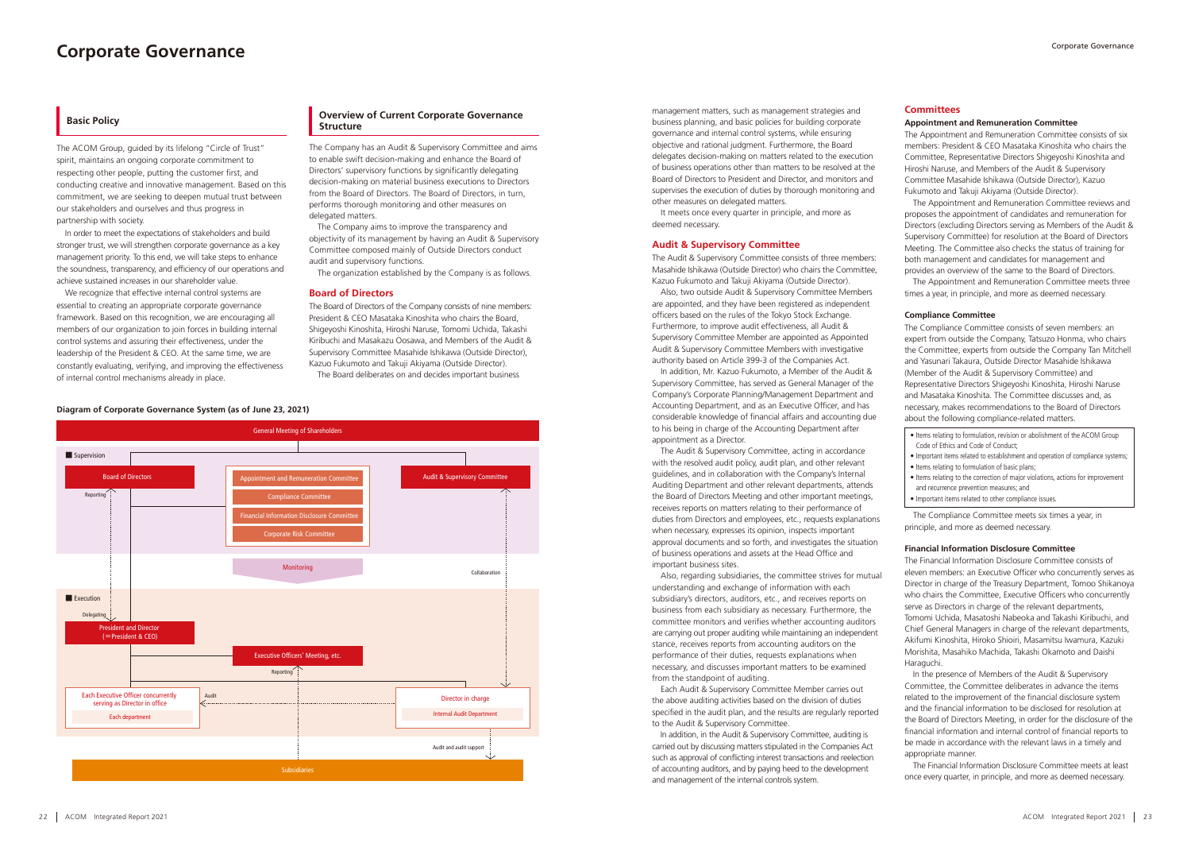# **Corporate Governance**

#### **Basic Policy**

The ACOM Group, guided by its lifelong "Circle of Trust" spirit, maintains an ongoing corporate commitment to respecting other people, putting the customer first, and conducting creative and innovative management. Based on this commitment, we are seeking to deepen mutual trust between our stakeholders and ourselves and thus progress in partnership with society.

In order to meet the expectations of stakeholders and build stronger trust, we will strengthen corporate governance as a key management priority. To this end, we will take steps to enhance the soundness, transparency, and efficiency of our operations and achieve sustained increases in our shareholder value.

We recognize that effective internal control systems are essential to creating an appropriate corporate governance framework. Based on this recognition, we are encouraging all members of our organization to join forces in building internal control systems and assuring their effectiveness, under the leadership of the President & CEO. At the same time, we are constantly evaluating, verifying, and improving the effectiveness of internal control mechanisms already in place.

management matters, such as management strategies and business planning, and basic policies for building corporate governance and internal control systems, while ensuring objective and rational judgment. Furthermore, the Board delegates decision-making on matters related to the execution of business operations other than matters to be resolved at the Board of Directors to President and Director, and monitors and supervises the execution of duties by thorough monitoring and other measures on delegated matters.

It meets once every quarter in principle, and more as deemed necessary.

#### **Audit & Supervisory Committee**

The Audit & Supervisory Committee consists of three members: Masahide Ishikawa (Outside Director) who chairs the Committee, Kazuo Fukumoto and Takuji Akiyama (Outside Director).

Also, two outside Audit & Supervisory Committee Members are appointed, and they have been registered as independent officers based on the rules of the Tokyo Stock Exchange. Furthermore, to improve audit effectiveness, all Audit & Supervisory Committee Member are appointed as Appointed Audit & Supervisory Committee Members with investigative authority based on Article 399-3 of the Companies Act.

In addition, Mr. Kazuo Fukumoto, a Member of the Audit & Supervisory Committee, has served as General Manager of the Company's Corporate Planning/Management Department and Accounting Department, and as an Executive Officer, and has considerable knowledge of financial affairs and accounting due to his being in charge of the Accounting Department after appointment as a Director.

The Audit & Supervisory Committee, acting in accordance with the resolved audit policy, audit plan, and other relevant guidelines, and in collaboration with the Company's Internal Auditing Department and other relevant departments, attends the Board of Directors Meeting and other important meetings, receives reports on matters relating to their performance of duties from Directors and employees, etc., requests explanations when necessary, expresses its opinion, inspects important approval documents and so forth, and investigates the situation of business operations and assets at the Head Office and important business sites.

Also, regarding subsidiaries, the committee strives for mutual understanding and exchange of information with each subsidiary's directors, auditors, etc., and receives reports on business from each subsidiary as necessary. Furthermore, the committee monitors and verifies whether accounting auditors are carrying out proper auditing while maintaining an independent stance, receives reports from accounting auditors on the performance of their duties, requests explanations when necessary, and discusses important matters to be examined from the standpoint of auditing.

Each Audit & Supervisory Committee Member carries out the above auditing activities based on the division of duties specified in the audit plan, and the results are regularly reported to the Audit & Supervisory Committee.

In addition, in the Audit & Supervisory Committee, auditing is carried out by discussing matters stipulated in the Companies Act such as approval of conflicting interest transactions and reelection of accounting auditors, and by paying heed to the development and management of the internal controls system.

#### **Overview of Current Corporate Governance Structure**

The Company has an Audit & Supervisory Committee and aims to enable swift decision-making and enhance the Board of Directors' supervisory functions by significantly delegating decision-making on material business executions to Directors from the Board of Directors. The Board of Directors, in turn, performs thorough monitoring and other measures on delegated matters.

The Company aims to improve the transparency and objectivity of its management by having an Audit & Supervisory Committee composed mainly of Outside Directors conduct audit and supervisory functions.

The organization established by the Company is as follows.

#### **Board of Directors**

The Board of Directors of the Company consists of nine members: President & CEO Masataka Kinoshita who chairs the Board, Shigeyoshi Kinoshita, Hiroshi Naruse, Tomomi Uchida, Takashi Kiribuchi and Masakazu Oosawa, and Members of the Audit & Supervisory Committee Masahide Ishikawa (Outside Director), Kazuo Fukumoto and Takuji Akiyama (Outside Director). The Board deliberates on and decides important business

#### **Committees**

#### **Appointment and Remuneration Committee**

The Appointment and Remuneration Committee consists of six members: President & CEO Masataka Kinoshita who chairs the Committee, Representative Directors Shigeyoshi Kinoshita and Hiroshi Naruse, and Members of the Audit & Supervisory Committee Masahide Ishikawa (Outside Director), Kazuo Fukumoto and Takuji Akiyama (Outside Director).

The Appointment and Remuneration Committee reviews and proposes the appointment of candidates and remuneration for Directors (excluding Directors serving as Members of the Audit & Supervisory Committee) for resolution at the Board of Directors Meeting. The Committee also checks the status of training for both management and candidates for management and provides an overview of the same to the Board of Directors.

The Appointment and Remuneration Committee meets three times a year, in principle, and more as deemed necessary.

#### **Compliance Committee**

The Compliance Committee consists of seven members: an expert from outside the Company, Tatsuzo Honma, who chairs the Committee, experts from outside the Company Tan Mitchell and Yasunari Takaura, Outside Director Masahide Ishikawa (Member of the Audit & Supervisory Committee) and Representative Directors Shigeyoshi Kinoshita, Hiroshi Naruse and Masataka Kinoshita. The Committee discusses and, as necessary, makes recommendations to the Board of Directors about the following compliance-related matters.

- Items relating to formulation, revision or abolishment of the ACOM Group Code of Ethics and Code of Conduct;
- Important items related to establishment and operation of compliance systems;
- Items relating to formulation of basic plans;
- Items relating to the correction of major violations, actions for improvement and recurrence prevention measures; and
- Important items related to other compliance issues.

The Compliance Committee meets six times a year, in principle, and more as deemed necessary.

#### **Financial Information Disclosure Committee**

The Financial Information Disclosure Committee consists of eleven members: an Executive Officer who concurrently serves as Director in charge of the Treasury Department, Tomoo Shikanoya who chairs the Committee, Executive Officers who concurrently serve as Directors in charge of the relevant departments, Tomomi Uchida, Masatoshi Nabeoka and Takashi Kiribuchi, and Chief General Managers in charge of the relevant departments, Akifumi Kinoshita, Hiroko Shioiri, Masamitsu Iwamura, Kazuki Morishita, Masahiko Machida, Takashi Okamoto and Daishi Haraguchi.

In the presence of Members of the Audit & Supervisory Committee, the Committee deliberates in advance the items related to the improvement of the financial disclosure system and the financial information to be disclosed for resolution at the Board of Directors Meeting, in order for the disclosure of the financial information and internal control of financial reports to be made in accordance with the relevant laws in a timely and appropriate manner.

The Financial Information Disclosure Committee meets at least once every quarter, in principle, and more as deemed necessary.



#### **Diagram of Corporate Governance System (as of June 23, 2021)**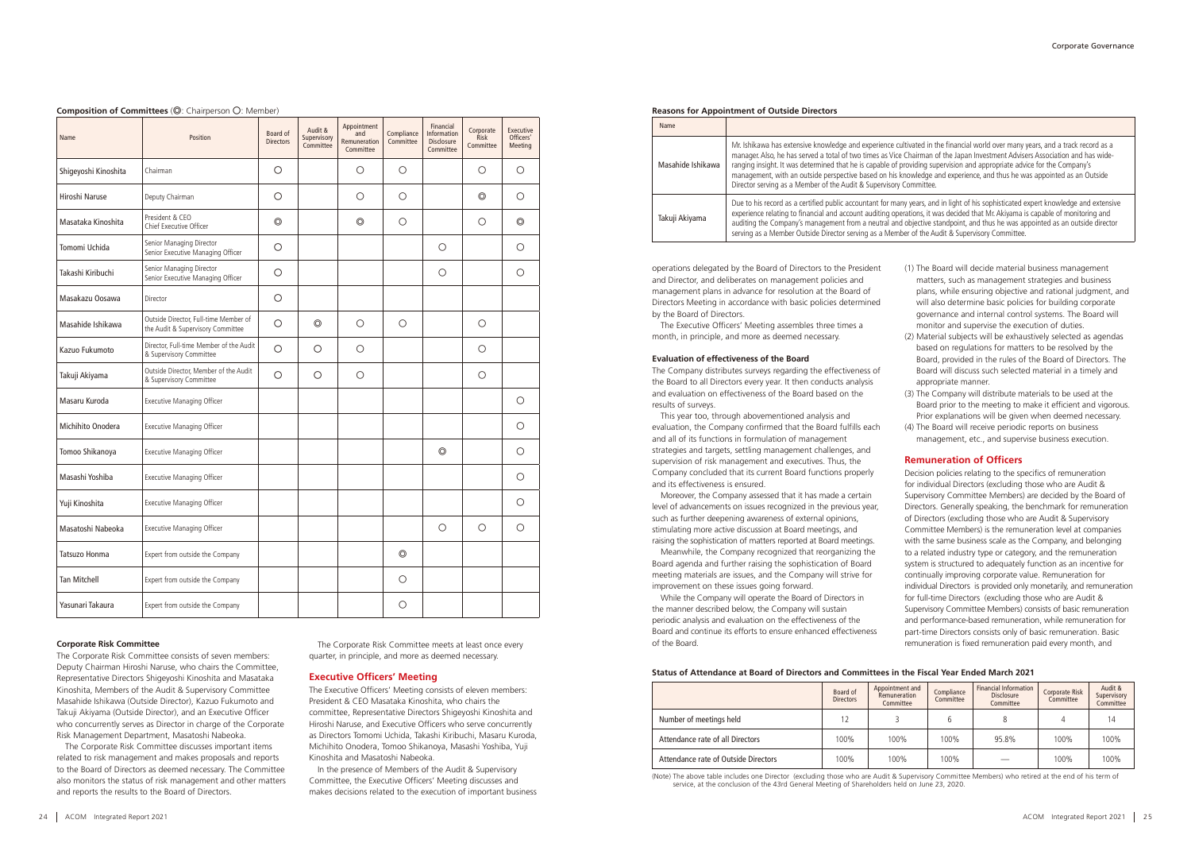#### **Corporate Risk Committee**

The Corporate Risk Committee consists of seven members: Deputy Chairman Hiroshi Naruse, who chairs the Committee, Representative Directors Shigeyoshi Kinoshita and Masataka Kinoshita, Members of the Audit & Supervisory Committee Masahide Ishikawa (Outside Director), Kazuo Fukumoto and Takuji Akiyama (Outside Director), and an Executive Officer who concurrently serves as Director in charge of the Corporate Risk Management Department, Masatoshi Nabeoka.

The Corporate Risk Committee discusses important items related to risk management and makes proposals and reports to the Board of Directors as deemed necessary. The Committee also monitors the status of risk management and other matters and reports the results to the Board of Directors.

operations delegated by the Board of Directors to the President and Director, and deliberates on management policies and management plans in advance for resolution at the Board of Directors Meeting in accordance with basic policies determined by the Board of Directors.

The Executive Officers' Meeting assembles three times a month, in principle, and more as deemed necessary.

#### **Evaluation of effectiveness of the Board**

The Company distributes surveys regarding the effectiveness of the Board to all Directors every year. It then conducts analysis and evaluation on effectiveness of the Board based on the results of surveys.

This year too, through abovementioned analysis and evaluation, the Company confirmed that the Board fulfills each and all of its functions in formulation of management strategies and targets, settling management challenges, and supervision of risk management and executives. Thus, the Company concluded that its current Board functions properly and its effectiveness is ensured.

Moreover, the Company assessed that it has made a certain level of advancements on issues recognized in the previous year, such as further deepening awareness of external opinions, stimulating more active discussion at Board meetings, and raising the sophistication of matters reported at Board meetings.

Meanwhile, the Company recognized that reorganizing the Board agenda and further raising the sophistication of Board meeting materials are issues, and the Company will strive for improvement on these issues going forward.

While the Company will operate the Board of Directors in the manner described below, the Company will sustain periodic analysis and evaluation on the effectiveness of the Board and continue its efforts to ensure enhanced effectiveness

The Corporate Risk Committee meets at least once every of the Board. quarter, in principle, and more as deemed necessary.

#### **Executive Officers' Meeting**

The Executive Officers' Meeting consists of eleven members: President & CEO Masataka Kinoshita, who chairs the committee, Representative Directors Shigeyoshi Kinoshita and Hiroshi Naruse, and Executive Officers who serve concurrently as Directors Tomomi Uchida, Takashi Kiribuchi, Masaru Kuroda, Michihito Onodera, Tomoo Shikanoya, Masashi Yoshiba, Yuji Kinoshita and Masatoshi Nabeoka.

In the presence of Members of the Audit & Supervisory Committee, the Executive Officers' Meeting discusses and makes decisions related to the execution of important business

- (1) The Board will decide material business management matters, such as management strategies and business plans, while ensuring objective and rational judgment, and will also determine basic policies for building corporate governance and internal control systems. The Board will monitor and supervise the execution of duties.
- (2) Material subjects will be exhaustively selected as agendas based on regulations for matters to be resolved by the Board, provided in the rules of the Board of Directors. The Board will discuss such selected material in a timely and appropriate manner.
- (3) The Company will distribute materials to be used at the Board prior to the meeting to make it efficient and vigorous. Prior explanations will be given when deemed necessary.
- (4) The Board will receive periodic reports on business management, etc., and supervise business execution.

#### **Remuneration of Officers**

Decision policies relating to the specifics of remuneration for individual Directors (excluding those who are Audit & Supervisory Committee Members) are decided by the Board of Directors. Generally speaking, the benchmark for remuneration of Directors (excluding those who are Audit & Supervisory Committee Members) is the remuneration level at companies with the same business scale as the Company, and belonging to a related industry type or category, and the remuneration system is structured to adequately function as an incentive for continually improving corporate value. Remuneration for individual Directors is provided only monetarily, and remuneration for full-time Directors (excluding those who are Audit & Supervisory Committee Members) consists of basic remuneration and performance-based remuneration, while remuneration for part-time Directors consists only of basic remuneration. Basic remuneration is fixed remuneration paid every month, and

#### **Reasons for Appointment of Outside Directors**

| Name              |                                                                                                                                                                                                                                                                                                   |
|-------------------|---------------------------------------------------------------------------------------------------------------------------------------------------------------------------------------------------------------------------------------------------------------------------------------------------|
| Masahide Ishikawa | Mr. Ishikawa has extensive knowledge and experience of<br>manager. Also, he has served a total of two times as Vic<br>ranging insight. It was determined that he is capable of<br>management, with an outside perspective based on his<br>Director serving as a Member of the Audit & Supervisory |
| Takuji Akiyama    | Due to his record as a certified public accountant for ma<br>experience relating to financial and account auditing op<br>auditing the Company's management from a neutral an<br>serving as a Member Outside Director serving as a Mem                                                             |

|  | Composition of Committees (@: Chairperson O: Member) |  |  |  |  |
|--|------------------------------------------------------|--|--|--|--|
|--|------------------------------------------------------|--|--|--|--|

| Name                 | Position                                                                   | Board of<br><b>Directors</b> | Audit &<br>Supervisory<br>Committee | Appointment<br>and<br>Remuneration<br>Committee | Compliance<br>Committee | Financial<br>Information<br>Disclosure<br>Committee | Corporate<br><b>Risk</b><br>Committee | Executive<br>Officers'<br>Meeting |
|----------------------|----------------------------------------------------------------------------|------------------------------|-------------------------------------|-------------------------------------------------|-------------------------|-----------------------------------------------------|---------------------------------------|-----------------------------------|
| Shigeyoshi Kinoshita | Chairman                                                                   | $\circ$                      |                                     | $\circ$                                         | $\circ$                 |                                                     | $\circ$                               | $\bigcirc$                        |
| Hiroshi Naruse       | Deputy Chairman                                                            | $\circ$                      |                                     | О                                               | $\circ$                 |                                                     | $\circledcirc$                        | $\circ$                           |
| Masataka Kinoshita   | President & CEO<br>Chief Executive Officer                                 | $\circledcirc$               |                                     | $\circledcirc$                                  | $\bigcirc$              |                                                     | $\bigcirc$                            | $\circledcirc$                    |
| Tomomi Uchida        | Senior Managing Director<br>Senior Executive Managing Officer              | $\circ$                      |                                     |                                                 |                         | $\bigcirc$                                          |                                       | $\circ$                           |
| Takashi Kiribuchi    | Senior Managing Director<br>Senior Executive Managing Officer              | $\circ$                      |                                     |                                                 |                         | $\bigcirc$                                          |                                       | $\circ$                           |
| Masakazu Oosawa      | Director                                                                   | O                            |                                     |                                                 |                         |                                                     |                                       |                                   |
| Masahide Ishikawa    | Outside Director, Full-time Member of<br>the Audit & Supervisory Committee | $\circ$                      | $\circledcirc$                      | $\circ$                                         | $\circ$                 |                                                     | $\bigcirc$                            |                                   |
| Kazuo Fukumoto       | Director, Full-time Member of the Audit<br>& Supervisory Committee         | $\circ$                      | $\circ$                             | $\circ$                                         |                         |                                                     | $\bigcirc$                            |                                   |
| Takuji Akiyama       | Outside Director, Member of the Audit<br>& Supervisory Committee           | Ο                            | $\circ$                             | $\circ$                                         |                         |                                                     | $\bigcirc$                            |                                   |
| Masaru Kuroda        | Executive Managing Officer                                                 |                              |                                     |                                                 |                         |                                                     |                                       | $\circ$                           |
| Michihito Onodera    | <b>Executive Managing Officer</b>                                          |                              |                                     |                                                 |                         |                                                     |                                       | O                                 |
| Tomoo Shikanoya      | Executive Managing Officer                                                 |                              |                                     |                                                 |                         | ◎                                                   |                                       | O                                 |
| Masashi Yoshiba      | <b>Executive Managing Officer</b>                                          |                              |                                     |                                                 |                         |                                                     |                                       | $\circ$                           |
| Yuji Kinoshita       | Executive Managing Officer                                                 |                              |                                     |                                                 |                         |                                                     |                                       | $\circ$                           |
| Masatoshi Nabeoka    | Executive Managing Officer                                                 |                              |                                     |                                                 |                         | $\bigcirc$                                          | $\circ$                               | $\bigcirc$                        |
| Tatsuzo Honma        | Expert from outside the Company                                            |                              |                                     |                                                 | $\circledcirc$          |                                                     |                                       |                                   |
| <b>Tan Mitchell</b>  | Expert from outside the Company                                            |                              |                                     |                                                 | $\bigcirc$              |                                                     |                                       |                                   |
| Yasunari Takaura     | Expert from outside the Company                                            |                              |                                     |                                                 | $\circ$                 |                                                     |                                       |                                   |

#### **Status of Attendance at Board of Directors and Committees in the Fiscal Year Ended March 2021**

|                                      | Board of<br><b>Directors</b> | Appointment and<br>Remuneration<br>Committee | Compliance<br>Committee | <b>Financial Information</b><br>Disclosure<br>Committee | <b>Corporate Risk</b><br>Committee | Audit &<br>Supervisory<br>Committee |
|--------------------------------------|------------------------------|----------------------------------------------|-------------------------|---------------------------------------------------------|------------------------------------|-------------------------------------|
| Number of meetings held              | 12                           |                                              |                         | 8                                                       |                                    | 14                                  |
| Attendance rate of all Directors     | 100%                         | 100%                                         | 100%                    | 95.8%                                                   | 100%                               | 100%                                |
| Attendance rate of Outside Directors | 100%                         | 100%                                         | 100%                    |                                                         | 100%                               | 100%                                |

(Note) The above table includes one Director (excluding those who are Audit & Supervisory Committee Members) who retired at the end of his term of service, at the conclusion of the 43rd General Meeting of Shareholders held on June 23, 2020.

cultivated in the financial world over many years, and a track record as a ce Chairman of the Japan Investment Advisers Association and has wideproviding supervision and appropriate advice for the Company's knowledge and experience, and thus he was appointed as an Outside rv Committee.

any years, and in light of his sophisticated expert knowledge and extensive perations, it was decided that Mr. Akiyama is capable of monitoring and audition objective standpoint, and thus he was appointed as an outside director mber of the Audit & Supervisory Committee.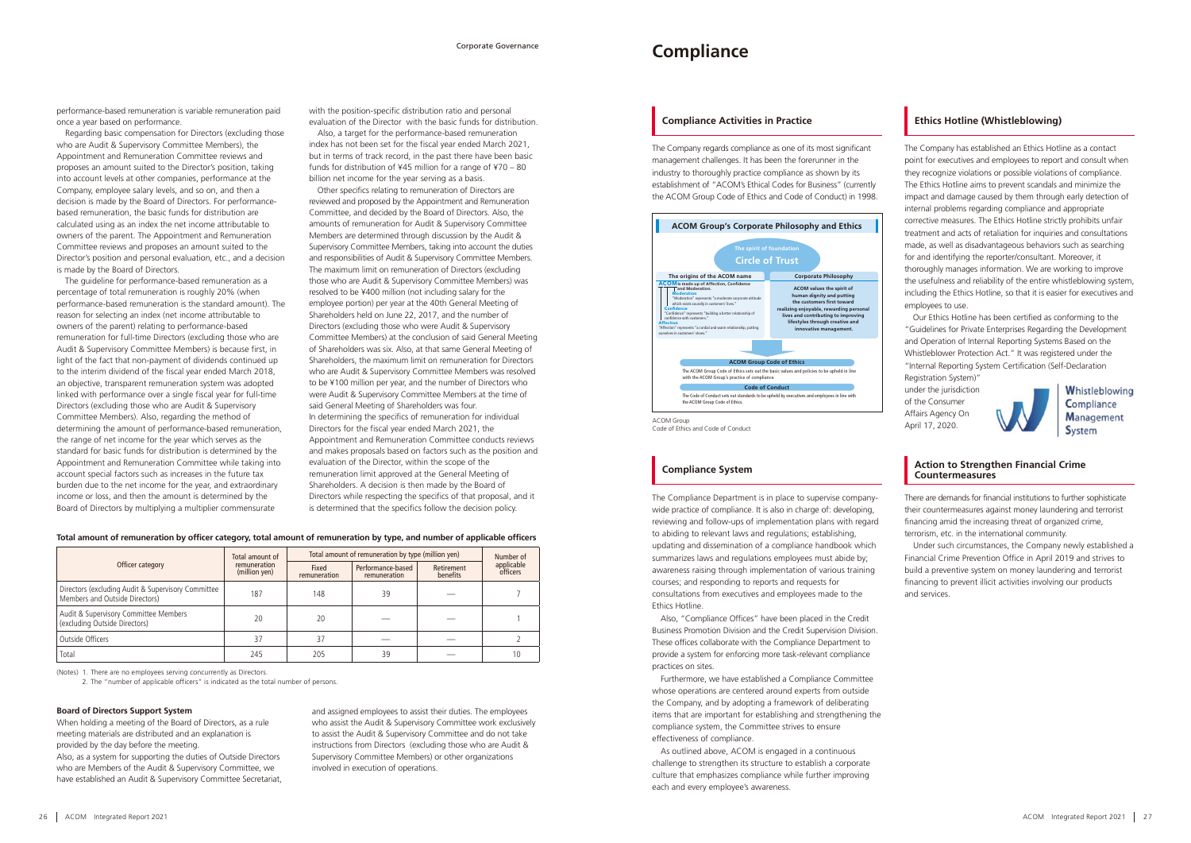performance-based remuneration is variable remuneration paid once a year based on performance.

Regarding basic compensation for Directors (excluding those who are Audit & Supervisory Committee Members), the Appointment and Remuneration Committee reviews and proposes an amount suited to the Director's position, taking into account levels at other companies, performance at the Company, employee salary levels, and so on, and then a decision is made by the Board of Directors. For performancebased remuneration, the basic funds for distribution are calculated using as an index the net income attributable to owners of the parent. The Appointment and Remuneration Committee reviews and proposes an amount suited to the Director's position and personal evaluation, etc., and a decision is made by the Board of Directors.

The guideline for performance-based remuneration as a percentage of total remuneration is roughly 20% (when performance-based remuneration is the standard amount). The reason for selecting an index (net income attributable to owners of the parent) relating to performance-based remuneration for full-time Directors (excluding those who are Audit & Supervisory Committee Members) is because first, in light of the fact that non-payment of dividends continued up to the interim dividend of the fiscal year ended March 2018, an objective, transparent remuneration system was adopted linked with performance over a single fiscal year for full-time Directors (excluding those who are Audit & Supervisory Committee Members). Also, regarding the method of determining the amount of performance-based remuneration, the range of net income for the year which serves as the standard for basic funds for distribution is determined by the Appointment and Remuneration Committee while taking into account special factors such as increases in the future tax burden due to the net income for the year, and extraordinary income or loss, and then the amount is determined by the Board of Directors by multiplying a multiplier commensurate

with the position-specific distribution ratio and personal evaluation of the Director with the basic funds for distribution.

Also, a target for the performance-based remuneration index has not been set for the fiscal year ended March 2021, but in terms of track record, in the past there have been basic funds for distribution of ¥45 million for a range of ¥70 – 80 billion net income for the year serving as a basis.

Other specifics relating to remuneration of Directors are reviewed and proposed by the Appointment and Remuneration Committee, and decided by the Board of Directors. Also, the amounts of remuneration for Audit & Supervisory Committee Members are determined through discussion by the Audit & Supervisory Committee Members, taking into account the duties and responsibilities of Audit & Supervisory Committee Members. The maximum limit on remuneration of Directors (excluding those who are Audit & Supervisory Committee Members) was resolved to be ¥400 million (not including salary for the employee portion) per year at the 40th General Meeting of Shareholders held on June 22, 2017, and the number of Directors (excluding those who were Audit & Supervisory Committee Members) at the conclusion of said General Meeting of Shareholders was six. Also, at that same General Meeting of Shareholders, the maximum limit on remuneration for Directors who are Audit & Supervisory Committee Members was resolved to be ¥100 million per year, and the number of Directors who were Audit & Supervisory Committee Members at the time of said General Meeting of Shareholders was four. In determining the specifics of remuneration for individual Directors for the fiscal year ended March 2021, the Appointment and Remuneration Committee conducts reviews and makes proposals based on factors such as the position and evaluation of the Director, within the scope of the remuneration limit approved at the General Meeting of Shareholders. A decision is then made by the Board of Directors while respecting the specifics of that proposal, and it is determined that the specifics follow the decision policy.

|  |  | Total amount of remuneration by officer category, total amount of remuneration by type, and number of applicable officers |
|--|--|---------------------------------------------------------------------------------------------------------------------------|
|  |  |                                                                                                                           |

|                                                                                      | Total amount of               | Total amount of remuneration by type (million yen) | Number of                         |                        |                        |
|--------------------------------------------------------------------------------------|-------------------------------|----------------------------------------------------|-----------------------------------|------------------------|------------------------|
| Officer category                                                                     | remuneration<br>(million yen) | Fixed<br>remuneration                              | Performance-based<br>remuneration | Retirement<br>benefits | applicable<br>officers |
| Directors (excluding Audit & Supervisory Committee<br>Members and Outside Directors) | 187                           | 148                                                | 39                                |                        |                        |
| Audit & Supervisory Committee Members<br>(excluding Outside Directors)               | 20                            | 20                                                 |                                   |                        |                        |
| Outside Officers                                                                     | 37                            | 37                                                 |                                   |                        |                        |
| Total                                                                                | 245                           | 205                                                | 39                                |                        | 10                     |

(Notes) 1. There are no employees serving concurrently as Directors.

2. The "number of applicable officers" is indicated as the total number of persons.

#### **Board of Directors Support System**

When holding a meeting of the Board of Directors, as a rule meeting materials are distributed and an explanation is provided by the day before the meeting.

Also, as a system for supporting the duties of Outside Directors who are Members of the Audit & Supervisory Committee, we have established an Audit & Supervisory Committee Secretariat, and assigned employees to assist their duties. The employees who assist the Audit & Supervisory Committee work exclusively to assist the Audit & Supervisory Committee and do not take instructions from Directors (excluding those who are Audit & Supervisory Committee Members) or other organizations involved in execution of operations.

# Corporate Governance **Compliance**

#### **Compliance Activities in Practice**

The Company regards compliance as one of its most significant management challenges. It has been the forerunner in the industry to thoroughly practice compliance as shown by its establishment of "ACOM's Ethical Codes for Business" (currently the ACOM Group Code of Ethics and Code of Conduct) in 1998.

#### **Compliance System**

The Compliance Department is in place to supervise companywide practice of compliance. It is also in charge of: developing, reviewing and follow-ups of implementation plans with regard to abiding to relevant laws and regulations; establishing, updating and dissemination of a compliance handbook which summarizes laws and regulations employees must abide by; awareness raising through implementation of various training courses; and responding to reports and requests for consultations from executives and employees made to the Ethics Hotline.

Also, "Compliance Offices" have been placed in the Credit Business Promotion Division and the Credit Supervision Division. These offices collaborate with the Compliance Department to provide a system for enforcing more task-relevant compliance practices on sites.

Furthermore, we have established a Compliance Committee whose operations are centered around experts from outside the Company, and by adopting a framework of deliberating items that are important for establishing and strengthening the compliance system, the Committee strives to ensure effectiveness of compliance.

As outlined above, ACOM is engaged in a continuous challenge to strengthen its structure to establish a corporate culture that emphasizes compliance while further improving each and every employee's awareness.

### **Ethics Hotline (Whistleblowing)**

The Company has established an Ethics Hotline as a contact point for executives and employees to report and consult when they recognize violations or possible violations of compliance. The Ethics Hotline aims to prevent scandals and minimize the impact and damage caused by them through early detection of internal problems regarding compliance and appropriate corrective measures. The Ethics Hotline strictly prohibits unfair treatment and acts of retaliation for inquiries and consultations made, as well as disadvantageous behaviors such as searching for and identifying the reporter/consultant. Moreover, it thoroughly manages information. We are working to improve the usefulness and reliability of the entire whistleblowing system, including the Ethics Hotline, so that it is easier for executives and employees to use.

Our Ethics Hotline has been certified as conforming to the "Guidelines for Private Enterprises Regarding the Development and Operation of Internal Reporting Systems Based on the Whistleblower Protection Act." It was registered under the "Internal Reporting System Certification (Self-Declaration

Registration System)" under the jurisdiction of the Consumer Affairs Agency On April 17, 2020.



Whistleblowing Compliance **Management System** 

### **Action to Strengthen Financial Crime Countermeasures**

There are demands for financial institutions to further sophisticate their countermeasures against money laundering and terrorist financing amid the increasing threat of organized crime, terrorism, etc. in the international community.

Under such circumstances, the Company newly established a Financial Crime Prevention Office in April 2019 and strives to build a preventive system on money laundering and terrorist financing to prevent illicit activities involving our products and services.



ACOM Group Code of Ethics and Code of Conduct